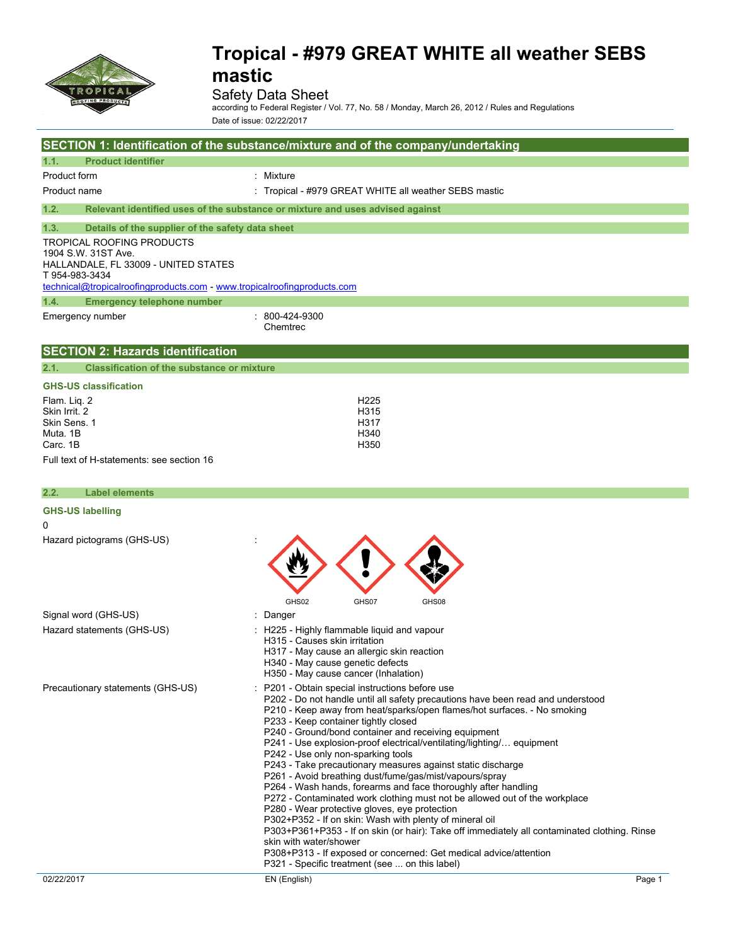

### Safety Data Sheet

according to Federal Register / Vol. 77, No. 58 / Monday, March 26, 2012 / Rules and Regulations Date of issue: 02/22/2017

|                                                                                                                                                                                              | SECTION 1: Identification of the substance/mixture and of the company/undertaking |
|----------------------------------------------------------------------------------------------------------------------------------------------------------------------------------------------|-----------------------------------------------------------------------------------|
| <b>Product identifier</b><br>1.1.                                                                                                                                                            |                                                                                   |
| Product form                                                                                                                                                                                 | : Mixture                                                                         |
| Product name                                                                                                                                                                                 | : Tropical - #979 GREAT WHITE all weather SEBS mastic                             |
| 1.2.                                                                                                                                                                                         | Relevant identified uses of the substance or mixture and uses advised against     |
| 1.3.<br>Details of the supplier of the safety data sheet                                                                                                                                     |                                                                                   |
| <b>TROPICAL ROOFING PRODUCTS</b><br>1904 S.W. 31ST Ave.<br>HALLANDALE, FL 33009 - UNITED STATES<br>T 954-983-3434<br>technical@tropicalroofingproducts.com - www.tropicalroofingproducts.com |                                                                                   |
| 1.4.<br><b>Emergency telephone number</b>                                                                                                                                                    |                                                                                   |
| Emergency number                                                                                                                                                                             | $: 800 - 424 - 9300$<br>Chemtrec                                                  |
| <b>SECTION 2: Hazards identification</b>                                                                                                                                                     |                                                                                   |
| <b>Classification of the substance or mixture</b><br>2.1.                                                                                                                                    |                                                                                   |
| <b>GHS-US classification</b>                                                                                                                                                                 |                                                                                   |
| Flam. Lig. 2<br>Skin Irrit. 2<br>Skin Sens. 1<br>Muta, 1B<br>Carc. 1B<br>Full text of H-statements: see section 16                                                                           | H <sub>225</sub><br>H315<br>H317<br>H340<br>H350                                  |
|                                                                                                                                                                                              |                                                                                   |
| 2.2.<br><b>Label elements</b>                                                                                                                                                                |                                                                                   |

| <b>GHS-US labelling</b>           |                                                                                                                                                                                                                                                                                                                                                                                                                                                                                                                                                                                                                                                                                                                                                                                                                                                                                                                                                                                                                                                                      |
|-----------------------------------|----------------------------------------------------------------------------------------------------------------------------------------------------------------------------------------------------------------------------------------------------------------------------------------------------------------------------------------------------------------------------------------------------------------------------------------------------------------------------------------------------------------------------------------------------------------------------------------------------------------------------------------------------------------------------------------------------------------------------------------------------------------------------------------------------------------------------------------------------------------------------------------------------------------------------------------------------------------------------------------------------------------------------------------------------------------------|
| 0                                 |                                                                                                                                                                                                                                                                                                                                                                                                                                                                                                                                                                                                                                                                                                                                                                                                                                                                                                                                                                                                                                                                      |
| Hazard pictograms (GHS-US)        |                                                                                                                                                                                                                                                                                                                                                                                                                                                                                                                                                                                                                                                                                                                                                                                                                                                                                                                                                                                                                                                                      |
|                                   | GHS02<br>GHS07<br>GHS08                                                                                                                                                                                                                                                                                                                                                                                                                                                                                                                                                                                                                                                                                                                                                                                                                                                                                                                                                                                                                                              |
| Signal word (GHS-US)              | Danger                                                                                                                                                                                                                                                                                                                                                                                                                                                                                                                                                                                                                                                                                                                                                                                                                                                                                                                                                                                                                                                               |
| Hazard statements (GHS-US)        | : H225 - Highly flammable liquid and vapour<br>H315 - Causes skin irritation<br>H317 - May cause an allergic skin reaction<br>H340 - May cause genetic defects<br>H350 - May cause cancer (Inhalation)                                                                                                                                                                                                                                                                                                                                                                                                                                                                                                                                                                                                                                                                                                                                                                                                                                                               |
| Precautionary statements (GHS-US) | : P201 - Obtain special instructions before use<br>P202 - Do not handle until all safety precautions have been read and understood<br>P210 - Keep away from heat/sparks/open flames/hot surfaces. - No smoking<br>P233 - Keep container tightly closed<br>P240 - Ground/bond container and receiving equipment<br>P241 - Use explosion-proof electrical/ventilating/lighting/ equipment<br>P242 - Use only non-sparking tools<br>P243 - Take precautionary measures against static discharge<br>P261 - Avoid breathing dust/fume/gas/mist/vapours/spray<br>P264 - Wash hands, forearms and face thoroughly after handling<br>P272 - Contaminated work clothing must not be allowed out of the workplace<br>P280 - Wear protective gloves, eye protection<br>P302+P352 - If on skin: Wash with plenty of mineral oil<br>P303+P361+P353 - If on skin (or hair): Take off immediately all contaminated clothing. Rinse<br>skin with water/shower<br>P308+P313 - If exposed or concerned: Get medical advice/attention<br>P321 - Specific treatment (see  on this label) |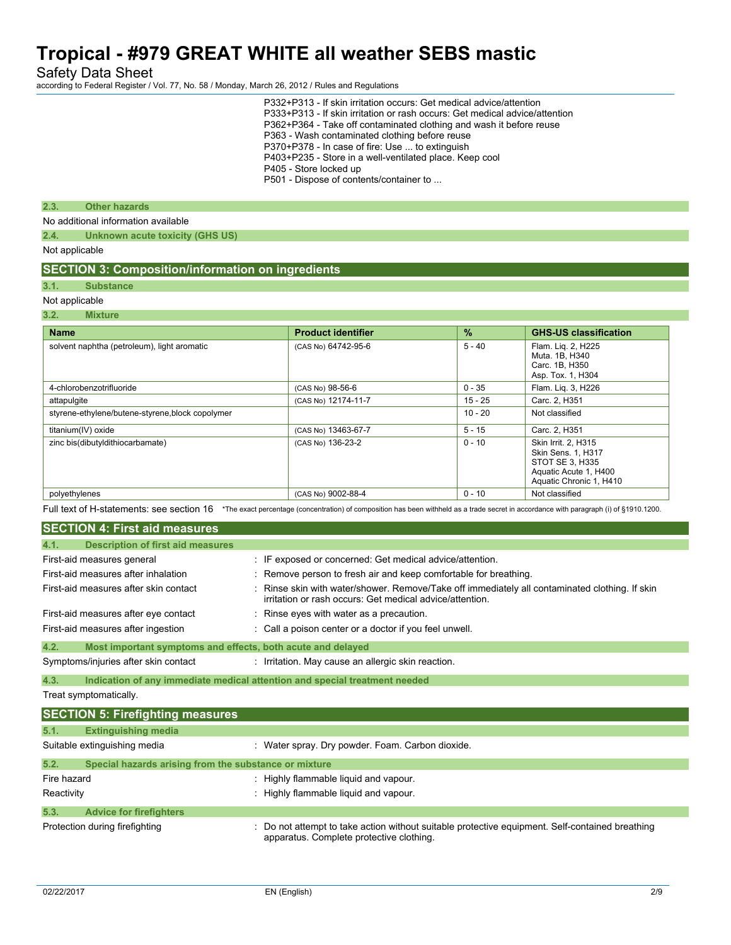Safety Data Sheet

according to Federal Register / Vol. 77, No. 58 / Monday, March 26, 2012 / Rules and Regulations

|                |                                                          | P332+P313 - If skin irritation occurs: Get medical advice/attention<br>P333+P313 - If skin irritation or rash occurs: Get medical advice/attention<br>P362+P364 - Take off contaminated clothing and wash it before reuse<br>P363 - Wash contaminated clothing before reuse<br>P370+P378 - In case of fire: Use  to extinguish<br>P403+P235 - Store in a well-ventilated place. Keep cool<br>P405 - Store locked up<br>P501 - Dispose of contents/container to |          |                                                                             |  |
|----------------|----------------------------------------------------------|----------------------------------------------------------------------------------------------------------------------------------------------------------------------------------------------------------------------------------------------------------------------------------------------------------------------------------------------------------------------------------------------------------------------------------------------------------------|----------|-----------------------------------------------------------------------------|--|
| 2.3.           | <b>Other hazards</b>                                     |                                                                                                                                                                                                                                                                                                                                                                                                                                                                |          |                                                                             |  |
|                | No additional information available                      |                                                                                                                                                                                                                                                                                                                                                                                                                                                                |          |                                                                             |  |
| 2.4.           | Unknown acute toxicity (GHS US)                          |                                                                                                                                                                                                                                                                                                                                                                                                                                                                |          |                                                                             |  |
| Not applicable |                                                          |                                                                                                                                                                                                                                                                                                                                                                                                                                                                |          |                                                                             |  |
|                | <b>SECTION 3: Composition/information on ingredients</b> |                                                                                                                                                                                                                                                                                                                                                                                                                                                                |          |                                                                             |  |
| 3.1.           | <b>Substance</b>                                         |                                                                                                                                                                                                                                                                                                                                                                                                                                                                |          |                                                                             |  |
| Not applicable |                                                          |                                                                                                                                                                                                                                                                                                                                                                                                                                                                |          |                                                                             |  |
| 3.2.           | <b>Mixture</b>                                           |                                                                                                                                                                                                                                                                                                                                                                                                                                                                |          |                                                                             |  |
| <b>Name</b>    |                                                          | <b>Product identifier</b>                                                                                                                                                                                                                                                                                                                                                                                                                                      | $\%$     | <b>GHS-US classification</b>                                                |  |
|                | solvent naphtha (petroleum), light aromatic              | (CAS No) 64742-95-6                                                                                                                                                                                                                                                                                                                                                                                                                                            | $5 - 40$ | Flam. Lig. 2, H225<br>Muta. 1B, H340<br>Carc. 1B, H350<br>Asp. Tox. 1, H304 |  |
|                | 4-chlorobenzotrifluoride                                 | (CAS No) 98-56-6                                                                                                                                                                                                                                                                                                                                                                                                                                               | $0 - 35$ | Flam. Lig. 3, H226                                                          |  |

| titanium(IV) oxide                               | (CAS No) 13463-67-7                                                                                                                      | $5 - 15$ | Carc. 2, H351                                                                                                    |
|--------------------------------------------------|------------------------------------------------------------------------------------------------------------------------------------------|----------|------------------------------------------------------------------------------------------------------------------|
| zinc bis(dibutyldithiocarbamate)                 | (CAS No) 136-23-2                                                                                                                        | $0 - 10$ | Skin Irrit. 2. H315<br>Skin Sens. 1, H317<br>STOT SE 3, H335<br>Aquatic Acute 1, H400<br>Aquatic Chronic 1, H410 |
| polyethylenes                                    | (CAS No) 9002-88-4                                                                                                                       | $0 - 10$ | Not classified                                                                                                   |
| Full text of H-statements: see section 16        | *The exact percentage (concentration) of composition has been withheld as a trade secret in accordance with paragraph (i) of §1910.1200. |          |                                                                                                                  |
| <b>SECTION 4: First aid measures</b>             |                                                                                                                                          |          |                                                                                                                  |
| 4.1.<br><b>Description of first aid measures</b> |                                                                                                                                          |          |                                                                                                                  |
| First-aid measures general                       | IF exposed or concerned: Get medical advice/attention.                                                                                   |          |                                                                                                                  |
| First-aid measures after inhalation              | Remove person to fresh air and keep comfortable for breathing                                                                            |          |                                                                                                                  |

attapulgite (CAS No) 12174-11-7 15 - 25 Carc. 2, H351 styrene-ethylene/butene-styrene,block copolymer 10 - 20 Not classified

| First-aid measures after inhalation                                 | : Remove person to fresh air and keep comfortable for breathing.                                                                                         |
|---------------------------------------------------------------------|----------------------------------------------------------------------------------------------------------------------------------------------------------|
| First-aid measures after skin contact                               | Rinse skin with water/shower. Remove/Take off immediately all contaminated clothing. If skin<br>irritation or rash occurs: Get medical advice/attention. |
| First-aid measures after eye contact                                | Rinse eyes with water as a precaution.                                                                                                                   |
| First-aid measures after ingestion                                  | : Call a poison center or a doctor if you feel unwell.                                                                                                   |
| 4.2.<br>Most important symptoms and effects, both acute and delayed |                                                                                                                                                          |
| Symptoms/injuries after skin contact                                | Irritation. May cause an allergic skin reaction.                                                                                                         |

**4.3. Indication of any immediate medical attention and special treatment needed**

Treat symptomatically.

|             | <b>SECTION 5: Firefighting measures</b>               |                                                                                                                                             |
|-------------|-------------------------------------------------------|---------------------------------------------------------------------------------------------------------------------------------------------|
| 5.1.        | <b>Extinguishing media</b>                            |                                                                                                                                             |
|             | Suitable extinguishing media                          | : Water spray. Dry powder. Foam. Carbon dioxide.                                                                                            |
| 5.2.        | Special hazards arising from the substance or mixture |                                                                                                                                             |
| Fire hazard |                                                       | : Highly flammable liquid and vapour.                                                                                                       |
| Reactivity  |                                                       | : Highly flammable liquid and vapour.                                                                                                       |
| 5.3.        | <b>Advice for firefighters</b>                        |                                                                                                                                             |
|             | Protection during firefighting                        | : Do not attempt to take action without suitable protective equipment. Self-contained breathing<br>apparatus. Complete protective clothing. |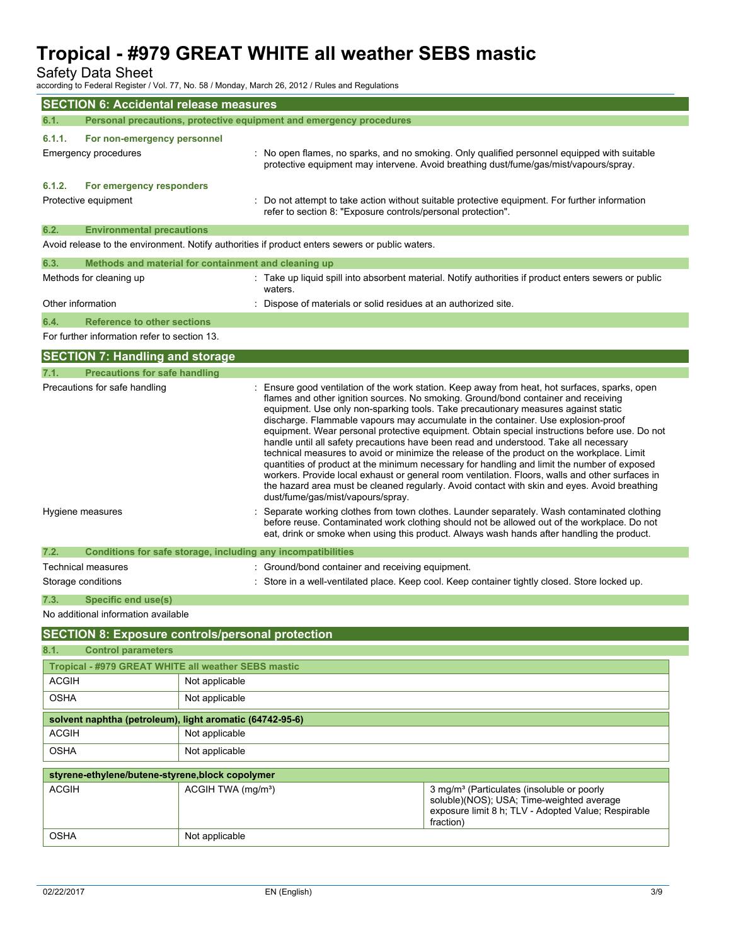Safety Data Sheet

according to Federal Register / Vol. 77, No. 58 / Monday, March 26, 2012 / Rules and Regulations

|                         | <b>SECTION 6: Accidental release measures</b>            |                                |                                                                                                 |                                                                                                                                                                                                                                                                                                                                                                                                                                                                                                                                                                                                                                                                                                                                                                                                                                                                                                                                                                                                                                                                                                                                                                                                                                                      |
|-------------------------|----------------------------------------------------------|--------------------------------|-------------------------------------------------------------------------------------------------|------------------------------------------------------------------------------------------------------------------------------------------------------------------------------------------------------------------------------------------------------------------------------------------------------------------------------------------------------------------------------------------------------------------------------------------------------------------------------------------------------------------------------------------------------------------------------------------------------------------------------------------------------------------------------------------------------------------------------------------------------------------------------------------------------------------------------------------------------------------------------------------------------------------------------------------------------------------------------------------------------------------------------------------------------------------------------------------------------------------------------------------------------------------------------------------------------------------------------------------------------|
| 6.1.                    |                                                          |                                | Personal precautions, protective equipment and emergency procedures                             |                                                                                                                                                                                                                                                                                                                                                                                                                                                                                                                                                                                                                                                                                                                                                                                                                                                                                                                                                                                                                                                                                                                                                                                                                                                      |
| 6.1.1.                  | For non-emergency personnel                              |                                |                                                                                                 |                                                                                                                                                                                                                                                                                                                                                                                                                                                                                                                                                                                                                                                                                                                                                                                                                                                                                                                                                                                                                                                                                                                                                                                                                                                      |
| Emergency procedures    |                                                          |                                |                                                                                                 | No open flames, no sparks, and no smoking. Only qualified personnel equipped with suitable<br>protective equipment may intervene. Avoid breathing dust/fume/gas/mist/vapours/spray.                                                                                                                                                                                                                                                                                                                                                                                                                                                                                                                                                                                                                                                                                                                                                                                                                                                                                                                                                                                                                                                                  |
| 6.1.2.                  | For emergency responders                                 |                                |                                                                                                 |                                                                                                                                                                                                                                                                                                                                                                                                                                                                                                                                                                                                                                                                                                                                                                                                                                                                                                                                                                                                                                                                                                                                                                                                                                                      |
| Protective equipment    |                                                          |                                | refer to section 8: "Exposure controls/personal protection".                                    | Do not attempt to take action without suitable protective equipment. For further information                                                                                                                                                                                                                                                                                                                                                                                                                                                                                                                                                                                                                                                                                                                                                                                                                                                                                                                                                                                                                                                                                                                                                         |
| 6.2.                    | <b>Environmental precautions</b>                         |                                |                                                                                                 |                                                                                                                                                                                                                                                                                                                                                                                                                                                                                                                                                                                                                                                                                                                                                                                                                                                                                                                                                                                                                                                                                                                                                                                                                                                      |
|                         |                                                          |                                | Avoid release to the environment. Notify authorities if product enters sewers or public waters. |                                                                                                                                                                                                                                                                                                                                                                                                                                                                                                                                                                                                                                                                                                                                                                                                                                                                                                                                                                                                                                                                                                                                                                                                                                                      |
| 6.3.                    | Methods and material for containment and cleaning up     |                                |                                                                                                 |                                                                                                                                                                                                                                                                                                                                                                                                                                                                                                                                                                                                                                                                                                                                                                                                                                                                                                                                                                                                                                                                                                                                                                                                                                                      |
| Methods for cleaning up |                                                          |                                | waters.                                                                                         | : Take up liquid spill into absorbent material. Notify authorities if product enters sewers or public                                                                                                                                                                                                                                                                                                                                                                                                                                                                                                                                                                                                                                                                                                                                                                                                                                                                                                                                                                                                                                                                                                                                                |
| Other information       |                                                          |                                | Dispose of materials or solid residues at an authorized site.                                   |                                                                                                                                                                                                                                                                                                                                                                                                                                                                                                                                                                                                                                                                                                                                                                                                                                                                                                                                                                                                                                                                                                                                                                                                                                                      |
| 6.4.                    | <b>Reference to other sections</b>                       |                                |                                                                                                 |                                                                                                                                                                                                                                                                                                                                                                                                                                                                                                                                                                                                                                                                                                                                                                                                                                                                                                                                                                                                                                                                                                                                                                                                                                                      |
|                         | For further information refer to section 13.             |                                |                                                                                                 |                                                                                                                                                                                                                                                                                                                                                                                                                                                                                                                                                                                                                                                                                                                                                                                                                                                                                                                                                                                                                                                                                                                                                                                                                                                      |
|                         | <b>SECTION 7: Handling and storage</b>                   |                                |                                                                                                 |                                                                                                                                                                                                                                                                                                                                                                                                                                                                                                                                                                                                                                                                                                                                                                                                                                                                                                                                                                                                                                                                                                                                                                                                                                                      |
| 7.1.                    | <b>Precautions for safe handling</b>                     |                                |                                                                                                 |                                                                                                                                                                                                                                                                                                                                                                                                                                                                                                                                                                                                                                                                                                                                                                                                                                                                                                                                                                                                                                                                                                                                                                                                                                                      |
| Hygiene measures        | Precautions for safe handling                            |                                | dust/fume/gas/mist/vapours/spray.                                                               | : Ensure good ventilation of the work station. Keep away from heat, hot surfaces, sparks, open<br>flames and other ignition sources. No smoking. Ground/bond container and receiving<br>equipment. Use only non-sparking tools. Take precautionary measures against static<br>discharge. Flammable vapours may accumulate in the container. Use explosion-proof<br>equipment. Wear personal protective equipment. Obtain special instructions before use. Do not<br>handle until all safety precautions have been read and understood. Take all necessary<br>technical measures to avoid or minimize the release of the product on the workplace. Limit<br>quantities of product at the minimum necessary for handling and limit the number of exposed<br>workers. Provide local exhaust or general room ventilation. Floors, walls and other surfaces in<br>the hazard area must be cleaned regularly. Avoid contact with skin and eyes. Avoid breathing<br>Separate working clothes from town clothes. Launder separately. Wash contaminated clothing<br>before reuse. Contaminated work clothing should not be allowed out of the workplace. Do not<br>eat, drink or smoke when using this product. Always wash hands after handling the product. |
|                         |                                                          |                                |                                                                                                 |                                                                                                                                                                                                                                                                                                                                                                                                                                                                                                                                                                                                                                                                                                                                                                                                                                                                                                                                                                                                                                                                                                                                                                                                                                                      |
| 7.2.                    |                                                          |                                | Conditions for safe storage, including any incompatibilities                                    |                                                                                                                                                                                                                                                                                                                                                                                                                                                                                                                                                                                                                                                                                                                                                                                                                                                                                                                                                                                                                                                                                                                                                                                                                                                      |
| Technical measures      |                                                          |                                | : Ground/bond container and receiving equipment.                                                |                                                                                                                                                                                                                                                                                                                                                                                                                                                                                                                                                                                                                                                                                                                                                                                                                                                                                                                                                                                                                                                                                                                                                                                                                                                      |
| Storage conditions      |                                                          |                                |                                                                                                 | : Store in a well-ventilated place. Keep cool. Keep container tightly closed. Store locked up.                                                                                                                                                                                                                                                                                                                                                                                                                                                                                                                                                                                                                                                                                                                                                                                                                                                                                                                                                                                                                                                                                                                                                       |
| 7.3.                    | Specific end use(s)                                      |                                |                                                                                                 |                                                                                                                                                                                                                                                                                                                                                                                                                                                                                                                                                                                                                                                                                                                                                                                                                                                                                                                                                                                                                                                                                                                                                                                                                                                      |
|                         | No additional information available                      |                                |                                                                                                 |                                                                                                                                                                                                                                                                                                                                                                                                                                                                                                                                                                                                                                                                                                                                                                                                                                                                                                                                                                                                                                                                                                                                                                                                                                                      |
|                         | <b>SECTION 8: Exposure controls/personal protection</b>  |                                |                                                                                                 |                                                                                                                                                                                                                                                                                                                                                                                                                                                                                                                                                                                                                                                                                                                                                                                                                                                                                                                                                                                                                                                                                                                                                                                                                                                      |
| 8.1.                    | <b>Control parameters</b>                                |                                |                                                                                                 |                                                                                                                                                                                                                                                                                                                                                                                                                                                                                                                                                                                                                                                                                                                                                                                                                                                                                                                                                                                                                                                                                                                                                                                                                                                      |
|                         | Tropical - #979 GREAT WHITE all weather SEBS mastic      |                                |                                                                                                 |                                                                                                                                                                                                                                                                                                                                                                                                                                                                                                                                                                                                                                                                                                                                                                                                                                                                                                                                                                                                                                                                                                                                                                                                                                                      |
| <b>ACGIH</b>            |                                                          | Not applicable                 |                                                                                                 |                                                                                                                                                                                                                                                                                                                                                                                                                                                                                                                                                                                                                                                                                                                                                                                                                                                                                                                                                                                                                                                                                                                                                                                                                                                      |
| <b>OSHA</b>             |                                                          | Not applicable                 |                                                                                                 |                                                                                                                                                                                                                                                                                                                                                                                                                                                                                                                                                                                                                                                                                                                                                                                                                                                                                                                                                                                                                                                                                                                                                                                                                                                      |
|                         | solvent naphtha (petroleum), light aromatic (64742-95-6) |                                |                                                                                                 |                                                                                                                                                                                                                                                                                                                                                                                                                                                                                                                                                                                                                                                                                                                                                                                                                                                                                                                                                                                                                                                                                                                                                                                                                                                      |
| ACGIH                   |                                                          | Not applicable                 |                                                                                                 |                                                                                                                                                                                                                                                                                                                                                                                                                                                                                                                                                                                                                                                                                                                                                                                                                                                                                                                                                                                                                                                                                                                                                                                                                                                      |
| <b>OSHA</b>             |                                                          | Not applicable                 |                                                                                                 |                                                                                                                                                                                                                                                                                                                                                                                                                                                                                                                                                                                                                                                                                                                                                                                                                                                                                                                                                                                                                                                                                                                                                                                                                                                      |
|                         | styrene-ethylene/butene-styrene,block copolymer          |                                |                                                                                                 |                                                                                                                                                                                                                                                                                                                                                                                                                                                                                                                                                                                                                                                                                                                                                                                                                                                                                                                                                                                                                                                                                                                                                                                                                                                      |
| <b>ACGIH</b>            |                                                          | ACGIH TWA (mg/m <sup>3</sup> ) |                                                                                                 | 3 mg/m <sup>3</sup> (Particulates (insoluble or poorly<br>soluble)(NOS); USA; Time-weighted average<br>exposure limit 8 h; TLV - Adopted Value; Respirable<br>fraction)                                                                                                                                                                                                                                                                                                                                                                                                                                                                                                                                                                                                                                                                                                                                                                                                                                                                                                                                                                                                                                                                              |
| <b>OSHA</b>             |                                                          | Not applicable                 |                                                                                                 |                                                                                                                                                                                                                                                                                                                                                                                                                                                                                                                                                                                                                                                                                                                                                                                                                                                                                                                                                                                                                                                                                                                                                                                                                                                      |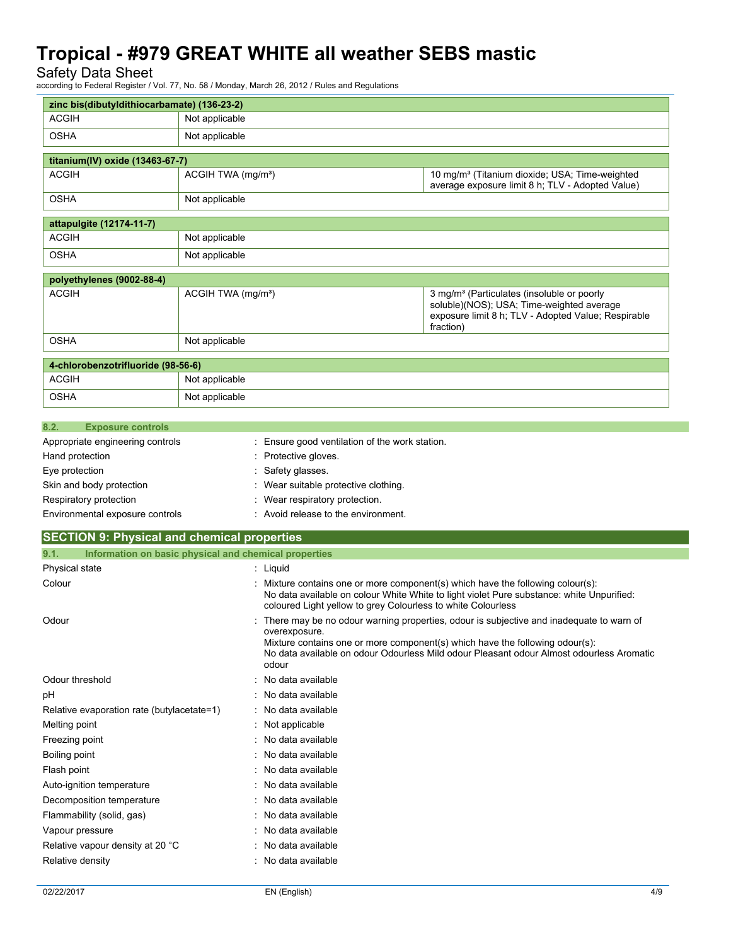Safety Data Sheet<br>according to Federal Register / \

according to Federal Register *March 26, 2012 / Rules and Regulatio*ns

|                                                               |                                                                                                                                                                                              | according to Federal Register / Vol. 77, No. 58 / Monday, March 26, 2012 / Rules and Regulations |                                                                                                                                                                                                                                                                     |
|---------------------------------------------------------------|----------------------------------------------------------------------------------------------------------------------------------------------------------------------------------------------|--------------------------------------------------------------------------------------------------|---------------------------------------------------------------------------------------------------------------------------------------------------------------------------------------------------------------------------------------------------------------------|
| zinc bis(dibutyldithiocarbamate) (136-23-2)                   |                                                                                                                                                                                              |                                                                                                  |                                                                                                                                                                                                                                                                     |
| <b>ACGIH</b>                                                  | Not applicable                                                                                                                                                                               |                                                                                                  |                                                                                                                                                                                                                                                                     |
| <b>OSHA</b>                                                   | Not applicable                                                                                                                                                                               |                                                                                                  |                                                                                                                                                                                                                                                                     |
| titanium(IV) oxide (13463-67-7)                               |                                                                                                                                                                                              |                                                                                                  |                                                                                                                                                                                                                                                                     |
| <b>ACGIH</b>                                                  | 10 mg/m <sup>3</sup> (Titanium dioxide; USA; Time-weighted<br>ACGIH TWA (mg/m <sup>3</sup> )<br>average exposure limit 8 h; TLV - Adopted Value)                                             |                                                                                                  |                                                                                                                                                                                                                                                                     |
| <b>OSHA</b>                                                   | Not applicable                                                                                                                                                                               |                                                                                                  |                                                                                                                                                                                                                                                                     |
| attapulgite (12174-11-7)                                      |                                                                                                                                                                                              |                                                                                                  |                                                                                                                                                                                                                                                                     |
| <b>ACGIH</b>                                                  | Not applicable                                                                                                                                                                               |                                                                                                  |                                                                                                                                                                                                                                                                     |
| <b>OSHA</b>                                                   | Not applicable                                                                                                                                                                               |                                                                                                  |                                                                                                                                                                                                                                                                     |
| polyethylenes (9002-88-4)                                     |                                                                                                                                                                                              |                                                                                                  |                                                                                                                                                                                                                                                                     |
| <b>ACGIH</b>                                                  | ACGIH TWA (mg/m <sup>3</sup> )<br>3 mg/m <sup>3</sup> (Particulates (insoluble or poorly<br>soluble)(NOS); USA; Time-weighted average<br>exposure limit 8 h; TLV - Adopted Value; Respirable |                                                                                                  | fraction)                                                                                                                                                                                                                                                           |
| <b>OSHA</b>                                                   | Not applicable                                                                                                                                                                               |                                                                                                  |                                                                                                                                                                                                                                                                     |
| 4-chlorobenzotrifluoride (98-56-6)                            |                                                                                                                                                                                              |                                                                                                  |                                                                                                                                                                                                                                                                     |
| <b>ACGIH</b>                                                  | Not applicable                                                                                                                                                                               |                                                                                                  |                                                                                                                                                                                                                                                                     |
| <b>OSHA</b>                                                   | Not applicable                                                                                                                                                                               |                                                                                                  |                                                                                                                                                                                                                                                                     |
| 8.2.<br><b>Exposure controls</b>                              |                                                                                                                                                                                              |                                                                                                  |                                                                                                                                                                                                                                                                     |
| Appropriate engineering controls                              |                                                                                                                                                                                              | Ensure good ventilation of the work station.                                                     |                                                                                                                                                                                                                                                                     |
| Hand protection                                               |                                                                                                                                                                                              | Protective gloves.                                                                               |                                                                                                                                                                                                                                                                     |
| Eye protection                                                |                                                                                                                                                                                              | Safety glasses.                                                                                  |                                                                                                                                                                                                                                                                     |
| Skin and body protection                                      |                                                                                                                                                                                              | Wear suitable protective clothing.                                                               |                                                                                                                                                                                                                                                                     |
| Respiratory protection                                        |                                                                                                                                                                                              | Wear respiratory protection.                                                                     |                                                                                                                                                                                                                                                                     |
| Environmental exposure controls                               |                                                                                                                                                                                              | Avoid release to the environment.                                                                |                                                                                                                                                                                                                                                                     |
| <b>SECTION 9: Physical and chemical properties</b>            |                                                                                                                                                                                              |                                                                                                  |                                                                                                                                                                                                                                                                     |
| Information on basic physical and chemical properties<br>9.1. |                                                                                                                                                                                              |                                                                                                  |                                                                                                                                                                                                                                                                     |
| Physical state                                                |                                                                                                                                                                                              | : Liquid                                                                                         |                                                                                                                                                                                                                                                                     |
| Colour                                                        |                                                                                                                                                                                              | coloured Light yellow to grey Colourless to white Colourless                                     | Mixture contains one or more component(s) which have the following colour(s):<br>No data available on colour White White to light violet Pure substance: white Unpurified:                                                                                          |
| Odour                                                         |                                                                                                                                                                                              | overexposure.<br>odour                                                                           | There may be no odour warning properties, odour is subjective and inadequate to warn of<br>Mixture contains one or more component(s) which have the following odour(s):<br>No data available on odour Odourless Mild odour Pleasant odour Almost odourless Aromatic |
| Odour threshold                                               | No data available                                                                                                                                                                            |                                                                                                  |                                                                                                                                                                                                                                                                     |
| pH                                                            |                                                                                                                                                                                              | No data available                                                                                |                                                                                                                                                                                                                                                                     |
| Relative evaporation rate (butylacetate=1)                    |                                                                                                                                                                                              | No data available                                                                                |                                                                                                                                                                                                                                                                     |
| Melting point                                                 |                                                                                                                                                                                              | Not applicable                                                                                   |                                                                                                                                                                                                                                                                     |
| Freezing point                                                |                                                                                                                                                                                              | No data available                                                                                |                                                                                                                                                                                                                                                                     |
| Boiling point                                                 |                                                                                                                                                                                              | No data available                                                                                |                                                                                                                                                                                                                                                                     |
| Flash point                                                   |                                                                                                                                                                                              | No data available                                                                                |                                                                                                                                                                                                                                                                     |

Auto-ignition temperature **interest and the Contract Auto-** : No data available Decomposition temperature **interest and the CO** in No data available Flammability (solid, gas) : No data available Vapour pressure in the set of the set of the San Assembly 2011 in the Vapour pressure Relative vapour density at 20 °C : No data available Relative density **in the case of the CO** and CO is a control of the Relative density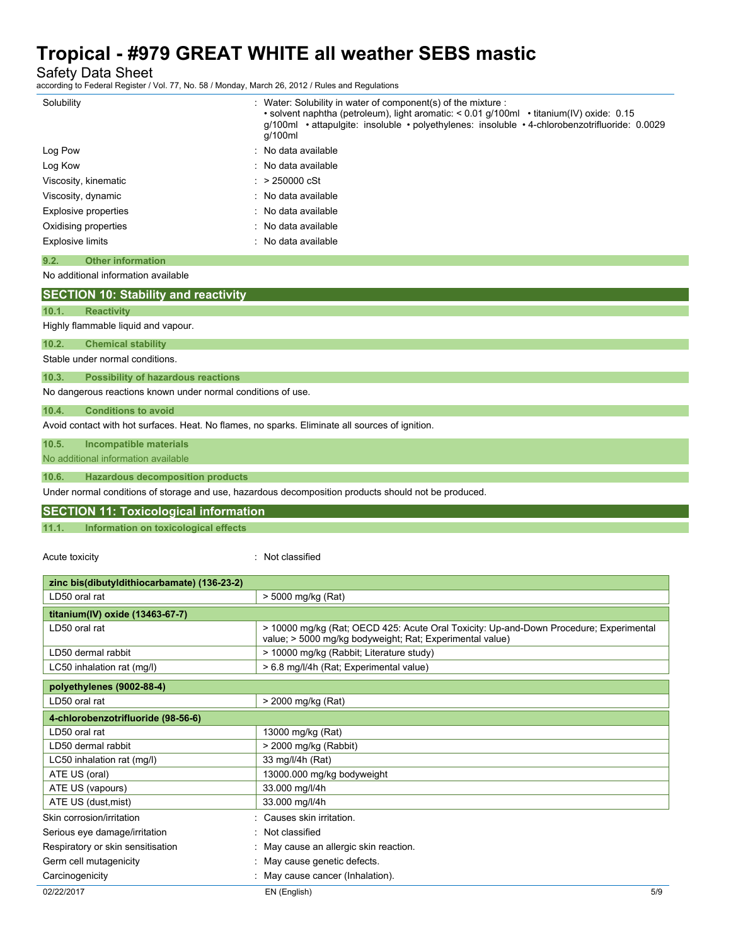Safety Data Sheet<br>according to Federal Register / \

| Solubility                                                                                                                             | : Water: Solubility in water of component(s) of the mixture :<br>• solvent naphtha (petroleum), light aromatic: < 0.01 g/100ml • titanium(IV) oxide: 0.15<br>g/100ml • attapulgite: insoluble • polyethylenes: insoluble • 4-chlorobenzotrifluoride: 0.0029<br>g/100ml |
|----------------------------------------------------------------------------------------------------------------------------------------|------------------------------------------------------------------------------------------------------------------------------------------------------------------------------------------------------------------------------------------------------------------------|
| Log Pow                                                                                                                                | No data available                                                                                                                                                                                                                                                      |
| Log Kow                                                                                                                                | No data available                                                                                                                                                                                                                                                      |
| Viscosity, kinematic                                                                                                                   | > 250000 cSt                                                                                                                                                                                                                                                           |
| Viscosity, dynamic                                                                                                                     | No data available                                                                                                                                                                                                                                                      |
| Explosive properties                                                                                                                   | No data available                                                                                                                                                                                                                                                      |
| Oxidising properties                                                                                                                   | No data available                                                                                                                                                                                                                                                      |
| <b>Explosive limits</b>                                                                                                                | No data available                                                                                                                                                                                                                                                      |
| <b>Other information</b><br>9.2.                                                                                                       |                                                                                                                                                                                                                                                                        |
| No additional information available                                                                                                    |                                                                                                                                                                                                                                                                        |
|                                                                                                                                        |                                                                                                                                                                                                                                                                        |
| <b>SECTION 10: Stability and reactivity</b>                                                                                            |                                                                                                                                                                                                                                                                        |
| 10.1.<br><b>Reactivity</b>                                                                                                             |                                                                                                                                                                                                                                                                        |
| Highly flammable liquid and vapour.                                                                                                    |                                                                                                                                                                                                                                                                        |
| 10.2.<br><b>Chemical stability</b>                                                                                                     |                                                                                                                                                                                                                                                                        |
| Stable under normal conditions.                                                                                                        |                                                                                                                                                                                                                                                                        |
| 10.3.<br><b>Possibility of hazardous reactions</b>                                                                                     |                                                                                                                                                                                                                                                                        |
| No dangerous reactions known under normal conditions of use.                                                                           |                                                                                                                                                                                                                                                                        |
| 10.4.<br><b>Conditions to avoid</b><br>Avoid contact with hot surfaces. Heat. No flames, no sparks. Eliminate all sources of ignition. |                                                                                                                                                                                                                                                                        |
| 10.5.<br><b>Incompatible materials</b>                                                                                                 |                                                                                                                                                                                                                                                                        |
| No additional information available                                                                                                    |                                                                                                                                                                                                                                                                        |
|                                                                                                                                        |                                                                                                                                                                                                                                                                        |
| 10.6.<br><b>Hazardous decomposition products</b>                                                                                       |                                                                                                                                                                                                                                                                        |
|                                                                                                                                        | Under normal conditions of storage and use, hazardous decomposition products should not be produced.                                                                                                                                                                   |
| <b>SECTION 11: Toxicological information</b>                                                                                           |                                                                                                                                                                                                                                                                        |
| 11.1.<br>Information on toxicological effects                                                                                          |                                                                                                                                                                                                                                                                        |
|                                                                                                                                        |                                                                                                                                                                                                                                                                        |
| Acute toxicity                                                                                                                         | : Not classified                                                                                                                                                                                                                                                       |
| zinc bis(dibutyldithiocarbamate) (136-23-2)                                                                                            |                                                                                                                                                                                                                                                                        |
| LD50 oral rat                                                                                                                          | > 5000 mg/kg (Rat)                                                                                                                                                                                                                                                     |
|                                                                                                                                        |                                                                                                                                                                                                                                                                        |
| titanium(IV) oxide (13463-67-7)<br>LD50 oral rat                                                                                       | > 10000 mg/kg (Rat; OECD 425: Acute Oral Toxicity: Up-and-Down Procedure; Experimental                                                                                                                                                                                 |
| LD50 dermal rabbit                                                                                                                     | value; > 5000 mg/kg bodyweight; Rat; Experimental value)                                                                                                                                                                                                               |
| LC50 inhalation rat (mg/l)                                                                                                             | > 10000 mg/kg (Rabbit; Literature study)<br>> 6.8 mg/l/4h (Rat; Experimental value)                                                                                                                                                                                    |
|                                                                                                                                        |                                                                                                                                                                                                                                                                        |
| polyethylenes (9002-88-4)                                                                                                              |                                                                                                                                                                                                                                                                        |
| LD50 oral rat                                                                                                                          | > 2000 mg/kg (Rat)                                                                                                                                                                                                                                                     |
| 4-chlorobenzotrifluoride (98-56-6)                                                                                                     |                                                                                                                                                                                                                                                                        |
| LD50 oral rat                                                                                                                          | 13000 mg/kg (Rat)                                                                                                                                                                                                                                                      |
| LD50 dermal rabbit                                                                                                                     | > 2000 mg/kg (Rabbit)                                                                                                                                                                                                                                                  |
| LC50 inhalation rat (mg/l)                                                                                                             | 33 mg/l/4h (Rat)                                                                                                                                                                                                                                                       |
| ATE US (oral)                                                                                                                          | 13000.000 mg/kg bodyweight                                                                                                                                                                                                                                             |
| ATE US (vapours)                                                                                                                       | 33.000 mg/l/4h                                                                                                                                                                                                                                                         |
| ATE US (dust, mist)                                                                                                                    | 33.000 mg/l/4h                                                                                                                                                                                                                                                         |
| Skin corrosion/irritation<br>Serious eye damage/irritation                                                                             | : Causes skin irritation.<br>Not classified                                                                                                                                                                                                                            |

- Germ cell mutagenicity **interest and the Community** May cause genetic defects.
- Carcinogenicity **Carcinogenicity** : May cause cancer (Inhalation).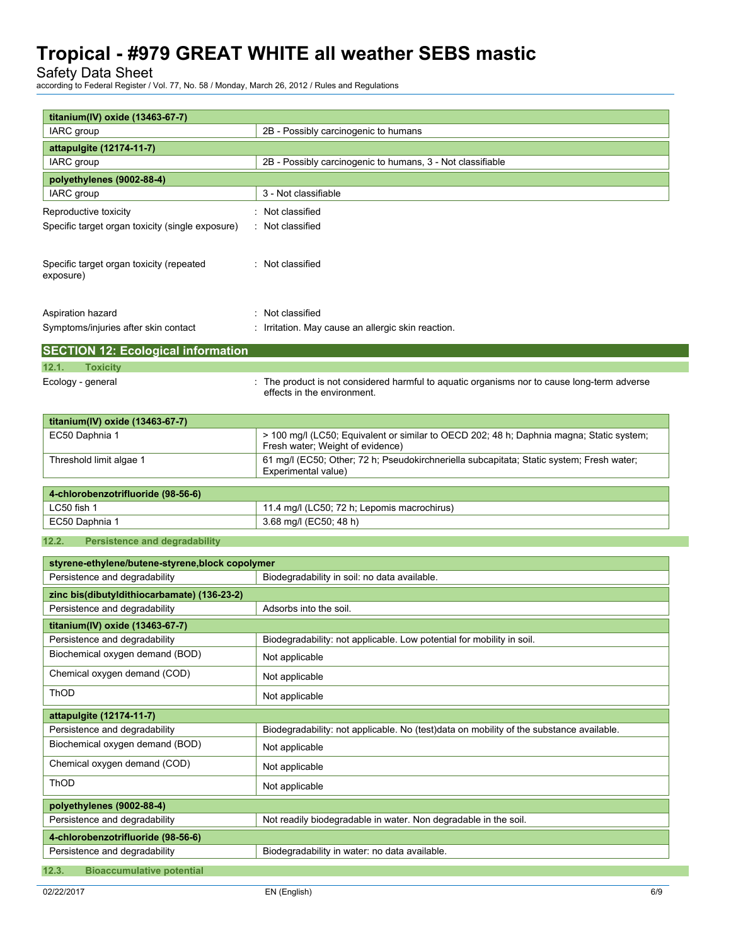Safety Data Sheet

**titanium(IV) oxide (13463-67-7)**

according to Federal Register / Vol. 77, No. 58 / Monday, March 26, 2012 / Rules and Regulations

| titanium(IV) oxide (13463-67-7)                       |                                                                                                                              |
|-------------------------------------------------------|------------------------------------------------------------------------------------------------------------------------------|
| IARC group                                            | 2B - Possibly carcinogenic to humans                                                                                         |
| attapulgite (12174-11-7)<br><b>IARC</b> group         | 2B - Possibly carcinogenic to humans, 3 - Not classifiable                                                                   |
|                                                       |                                                                                                                              |
| polyethylenes (9002-88-4)                             | 3 - Not classifiable                                                                                                         |
| IARC group                                            |                                                                                                                              |
| Reproductive toxicity                                 | : Not classified                                                                                                             |
| Specific target organ toxicity (single exposure)      | : Not classified                                                                                                             |
| Specific target organ toxicity (repeated<br>exposure) | : Not classified                                                                                                             |
| Aspiration hazard                                     | : Not classified                                                                                                             |
| Symptoms/injuries after skin contact                  | : Irritation. May cause an allergic skin reaction.                                                                           |
|                                                       |                                                                                                                              |
| <b>SECTION 12: Ecological information</b>             |                                                                                                                              |
| 12.1.<br><b>Toxicity</b>                              |                                                                                                                              |
| Ecology - general                                     | : The product is not considered harmful to aquatic organisms nor to cause long-term adverse<br>effects in the environment.   |
| titanium(IV) oxide (13463-67-7)                       |                                                                                                                              |
| EC50 Daphnia 1                                        | > 100 mg/l (LC50; Equivalent or similar to OECD 202; 48 h; Daphnia magna; Static system;<br>Fresh water; Weight of evidence) |
| Threshold limit algae 1                               | 61 mg/l (EC50; Other; 72 h; Pseudokirchneriella subcapitata; Static system; Fresh water;<br>Experimental value)              |
| 4-chlorobenzotrifluoride (98-56-6)                    |                                                                                                                              |
| LC50 fish 1                                           | 11.4 mg/l (LC50; 72 h; Lepomis macrochirus)                                                                                  |
| EC50 Daphnia 1                                        | 3.68 mg/l (EC50; 48 h)                                                                                                       |
| <b>Persistence and degradability</b><br>12.2.         |                                                                                                                              |
| styrene-ethylene/butene-styrene,block copolymer       |                                                                                                                              |
| Persistence and degradability                         | Biodegradability in soil: no data available.                                                                                 |
| zinc bis(dibutyldithiocarbamate) (136-23-2)           |                                                                                                                              |
| Persistence and degradability                         | Adsorbs into the soil.                                                                                                       |
| titanium(IV) oxide (13463-67-7)                       |                                                                                                                              |
| Persistence and degradability                         | Biodegradability: not applicable. Low potential for mobility in soil.                                                        |
| Biochemical oxygen demand (BOD)                       | Not applicable                                                                                                               |
| Chemical oxygen demand (COD)                          | Not applicable                                                                                                               |
| ThOD                                                  | Not applicable                                                                                                               |
| attapulgite (12174-11-7)                              |                                                                                                                              |
| Persistence and degradability                         | Biodegradability: not applicable. No (test)data on mobility of the substance available.                                      |
| Biochemical oxygen demand (BOD)                       | Not applicable                                                                                                               |
| Chemical oxygen demand (COD)                          | Not applicable                                                                                                               |
| ThOD                                                  | Not applicable                                                                                                               |
| polyethylenes (9002-88-4)                             |                                                                                                                              |
| Persistence and degradability                         | Not readily biodegradable in water. Non degradable in the soil.                                                              |
| 4-chlorobenzotrifluoride (98-56-6)                    |                                                                                                                              |
| Persistence and degradability                         | Biodegradability in water: no data available.                                                                                |
| <b>Bioaccumulative potential</b><br>12.3.             |                                                                                                                              |
|                                                       |                                                                                                                              |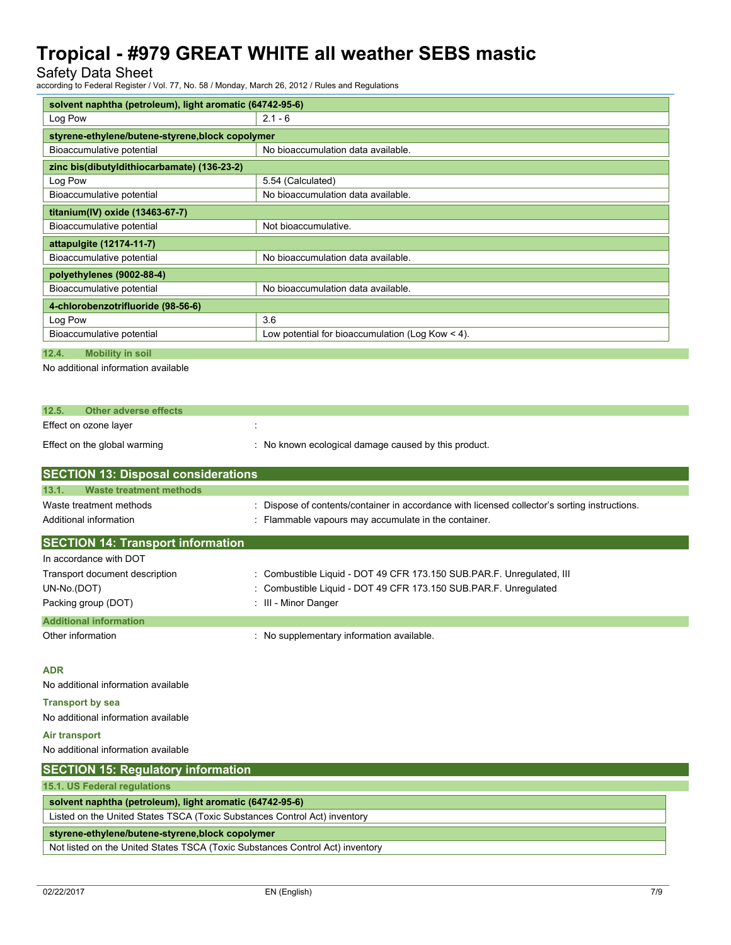Safety Data Sheet

according to Federal Register / Vol. 77, No. 58 / Monday, March 26, 2012 / Rules and Regulations

| solvent naphtha (petroleum), light aromatic (64742-95-6) |                                                    |  |
|----------------------------------------------------------|----------------------------------------------------|--|
| Log Pow                                                  | $2.1 - 6$                                          |  |
| styrene-ethylene/butene-styrene, block copolymer         |                                                    |  |
| Bioaccumulative potential                                | No bioaccumulation data available.                 |  |
| zinc bis(dibutyldithiocarbamate) (136-23-2)              |                                                    |  |
| Log Pow                                                  | 5.54 (Calculated)                                  |  |
| Bioaccumulative potential                                | No bioaccumulation data available.                 |  |
| titanium(IV) oxide (13463-67-7)                          |                                                    |  |
| Bioaccumulative potential                                | Not bioaccumulative.                               |  |
| attapulgite (12174-11-7)                                 |                                                    |  |
| Bioaccumulative potential                                | No bioaccumulation data available.                 |  |
| polyethylenes (9002-88-4)                                |                                                    |  |
| Bioaccumulative potential                                | No bioaccumulation data available.                 |  |
| 4-chlorobenzotrifluoride (98-56-6)                       |                                                    |  |
| Log Pow                                                  | 3.6                                                |  |
| Bioaccumulative potential                                | Low potential for bioaccumulation (Log Kow $<$ 4). |  |

**12.4. Mobility in soil**

No additional information available

| 12.5. | <b>Other adverse effects</b>                |                                                      |
|-------|---------------------------------------------|------------------------------------------------------|
|       | Effect on ozone layer                       |                                                      |
|       | Effect on the global warming                | : No known ecological damage caused by this product. |
|       | <b>ISECTION 13: Disnosal considerations</b> |                                                      |

| <b>SECTION 13. DISPOSAI CONSIDERATIONS</b>                                    |                                                                                               |  |  |  |
|-------------------------------------------------------------------------------|-----------------------------------------------------------------------------------------------|--|--|--|
| <b>Waste treatment methods</b><br>13.1.                                       |                                                                                               |  |  |  |
| Waste treatment methods                                                       | : Dispose of contents/container in accordance with licensed collector's sorting instructions. |  |  |  |
| Additional information                                                        | : Flammable vapours may accumulate in the container.                                          |  |  |  |
| <b>SECTION 14: Transport information</b>                                      |                                                                                               |  |  |  |
| In accordance with DOT                                                        |                                                                                               |  |  |  |
| Transport document description                                                | : Combustible Liquid - DOT 49 CFR 173.150 SUB PAR F. Unregulated, III                         |  |  |  |
| UN-No.(DOT)                                                                   | : Combustible Liquid - DOT 49 CFR 173.150 SUB PAR F. Unregulated                              |  |  |  |
| Packing group (DOT)                                                           | : III - Minor Danger                                                                          |  |  |  |
| <b>Additional information</b>                                                 |                                                                                               |  |  |  |
| Other information                                                             | : No supplementary information available.                                                     |  |  |  |
|                                                                               |                                                                                               |  |  |  |
| <b>ADR</b>                                                                    |                                                                                               |  |  |  |
| No additional information available                                           |                                                                                               |  |  |  |
| <b>Transport by sea</b>                                                       |                                                                                               |  |  |  |
| No additional information available                                           |                                                                                               |  |  |  |
| Air transport                                                                 |                                                                                               |  |  |  |
| No additional information available                                           |                                                                                               |  |  |  |
| <b>SECTION 15: Regulatory information</b>                                     |                                                                                               |  |  |  |
| 15.1. US Federal regulations                                                  |                                                                                               |  |  |  |
| solvent naphtha (petroleum), light aromatic (64742-95-6)                      |                                                                                               |  |  |  |
| Listed on the United States TSCA (Toxic Substances Control Act) inventory     |                                                                                               |  |  |  |
| styrene-ethylene/butene-styrene,block copolymer                               |                                                                                               |  |  |  |
| Not listed on the United States TSCA (Toxic Substances Control Act) inventory |                                                                                               |  |  |  |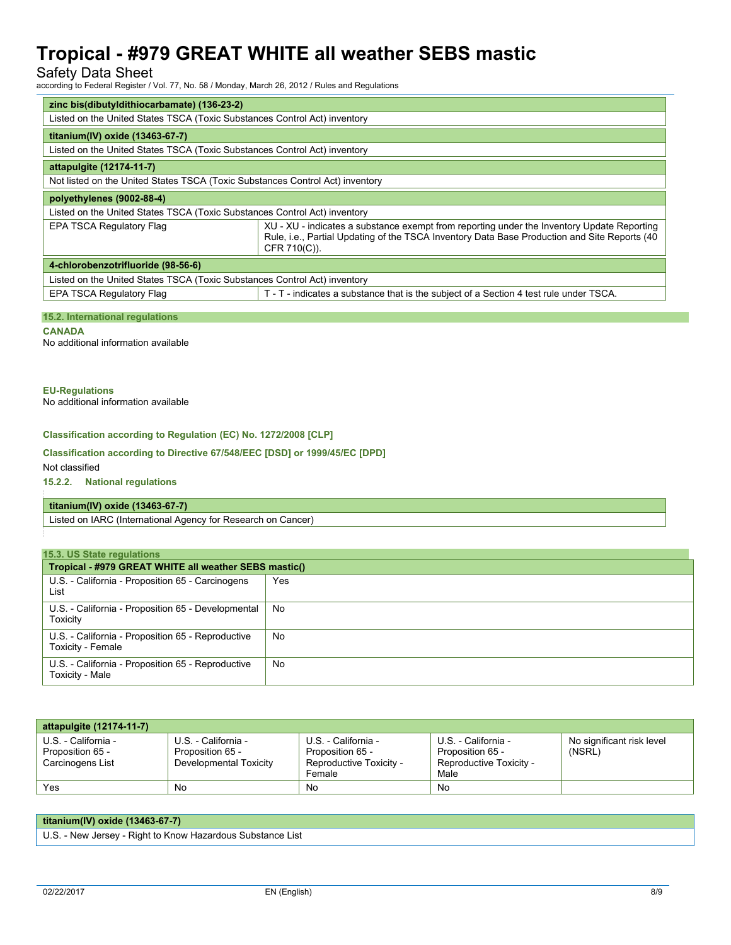### Safety Data Sheet

according to Federal Register / Vol. 77, No. 58 / Monday, March 26, 2012 / Rules and Regulations

| zinc bis(dibutyldithiocarbamate) (136-23-2)                                   |                                                                                                                                                                                                            |  |  |
|-------------------------------------------------------------------------------|------------------------------------------------------------------------------------------------------------------------------------------------------------------------------------------------------------|--|--|
| Listed on the United States TSCA (Toxic Substances Control Act) inventory     |                                                                                                                                                                                                            |  |  |
| titanium(IV) oxide (13463-67-7)                                               |                                                                                                                                                                                                            |  |  |
| Listed on the United States TSCA (Toxic Substances Control Act) inventory     |                                                                                                                                                                                                            |  |  |
| attapulgite (12174-11-7)                                                      |                                                                                                                                                                                                            |  |  |
| Not listed on the United States TSCA (Toxic Substances Control Act) inventory |                                                                                                                                                                                                            |  |  |
| polyethylenes (9002-88-4)                                                     |                                                                                                                                                                                                            |  |  |
| Listed on the United States TSCA (Toxic Substances Control Act) inventory     |                                                                                                                                                                                                            |  |  |
| EPA TSCA Regulatory Flag                                                      | XU - XU - indicates a substance exempt from reporting under the Inventory Update Reporting<br>Rule, i.e., Partial Updating of the TSCA Inventory Data Base Production and Site Reports (40<br>CFR 710(C)). |  |  |
| 4-chlorobenzotrifluoride (98-56-6)                                            |                                                                                                                                                                                                            |  |  |
| Listed on the United States TSCA (Toxic Substances Control Act) inventory     |                                                                                                                                                                                                            |  |  |
| EPA TSCA Regulatory Flag                                                      | T - T - indicates a substance that is the subject of a Section 4 test rule under TSCA.                                                                                                                     |  |  |
|                                                                               |                                                                                                                                                                                                            |  |  |

### **15.2. International regulations**

**CANADA**

No additional information available

### **EU-Regulations**

No additional information available

### **Classification according to Regulation (EC) No. 1272/2008 [CLP]**

### **Classification according to Directive 67/548/EEC [DSD] or 1999/45/EC [DPD]**

Not classified

### **15.2.2. National regulations**

### **titanium(IV) oxide (13463-67-7)**

Listed on IARC (International Agency for Research on Cancer)

| 15.3. US State regulations                                             |      |  |  |
|------------------------------------------------------------------------|------|--|--|
| Tropical - #979 GREAT WHITE all weather SEBS mastic()                  |      |  |  |
| U.S. - California - Proposition 65 - Carcinogens<br>List               | Yes. |  |  |
| U.S. - California - Proposition 65 - Developmental<br>Toxicity         | No   |  |  |
| U.S. - California - Proposition 65 - Reproductive<br>Toxicity - Female | No   |  |  |
| U.S. - California - Proposition 65 - Reproductive<br>Toxicity - Male   | No   |  |  |

| attapulgite (12174-11-7)                                    |                                                                   |                                                                              |                                                                            |                                     |
|-------------------------------------------------------------|-------------------------------------------------------------------|------------------------------------------------------------------------------|----------------------------------------------------------------------------|-------------------------------------|
| U.S. - California -<br>Proposition 65 -<br>Carcinogens List | U.S. - California -<br>Proposition 65 -<br>Developmental Toxicity | U.S. - California -<br>Proposition 65 -<br>Reproductive Toxicity -<br>Female | U.S. - California -<br>Proposition 65 -<br>Reproductive Toxicity -<br>Male | No significant risk level<br>(NSRL) |
| Yes                                                         | No                                                                | No                                                                           | No                                                                         |                                     |

| titanium(IV) oxide (13463-67-7)                            |  |
|------------------------------------------------------------|--|
| U.S. - New Jersey - Right to Know Hazardous Substance List |  |